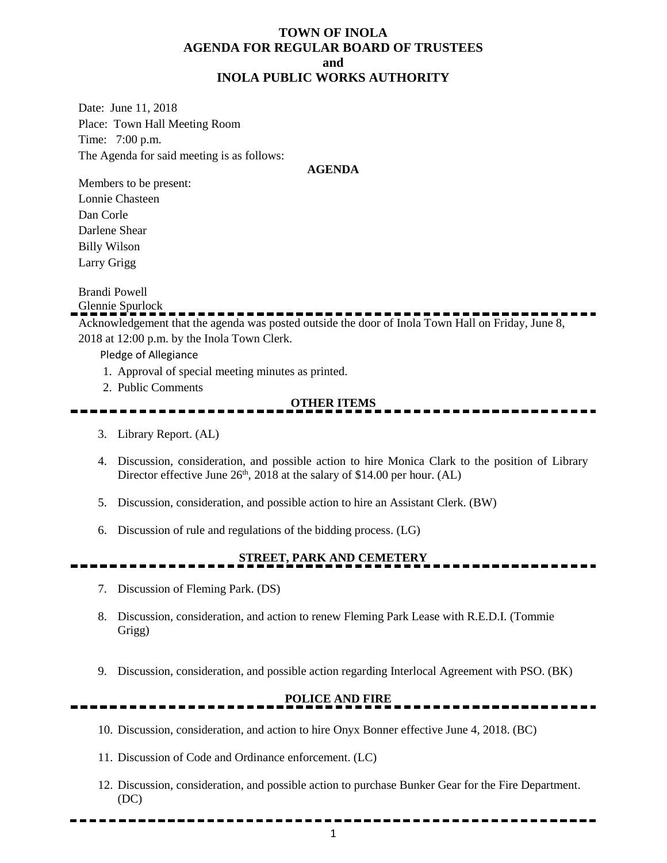#### **TOWN OF INOLA AGENDA FOR REGULAR BOARD OF TRUSTEES and INOLA PUBLIC WORKS AUTHORITY**

Date: June 11, 2018 Place: Town Hall Meeting Room Time: 7:00 p.m. The Agenda for said meeting is as follows:

#### **AGENDA**

Members to be present: Lonnie Chasteen Dan Corle Darlene Shear Billy Wilson Larry Grigg

Brandi Powell

Glennie Spurlock

Acknowledgement that the agenda was posted outside the door of Inola Town Hall on Friday, June 8, 2018 at 12:00 p.m. by the Inola Town Clerk.

Pledge of Allegiance

- 1. Approval of special meeting minutes as printed.
- 2. Public Comments

#### **OTHER ITEMS**

- 3. Library Report. (AL)
- 4. Discussion, consideration, and possible action to hire Monica Clark to the position of Library Director effective June  $26<sup>th</sup>$ , 2018 at the salary of \$14.00 per hour. (AL)
- 5. Discussion, consideration, and possible action to hire an Assistant Clerk. (BW)
- 6. Discussion of rule and regulations of the bidding process. (LG)

### **STREET, PARK AND CEMETERY**

- 7. Discussion of Fleming Park. (DS)
- 8. Discussion, consideration, and action to renew Fleming Park Lease with R.E.D.I. (Tommie Grigg)
- 9. Discussion, consideration, and possible action regarding Interlocal Agreement with PSO. (BK)

### **POLICE AND FIRE**

- 10. Discussion, consideration, and action to hire Onyx Bonner effective June 4, 2018. (BC)
- 11. Discussion of Code and Ordinance enforcement. (LC)
- 12. Discussion, consideration, and possible action to purchase Bunker Gear for the Fire Department. (DC)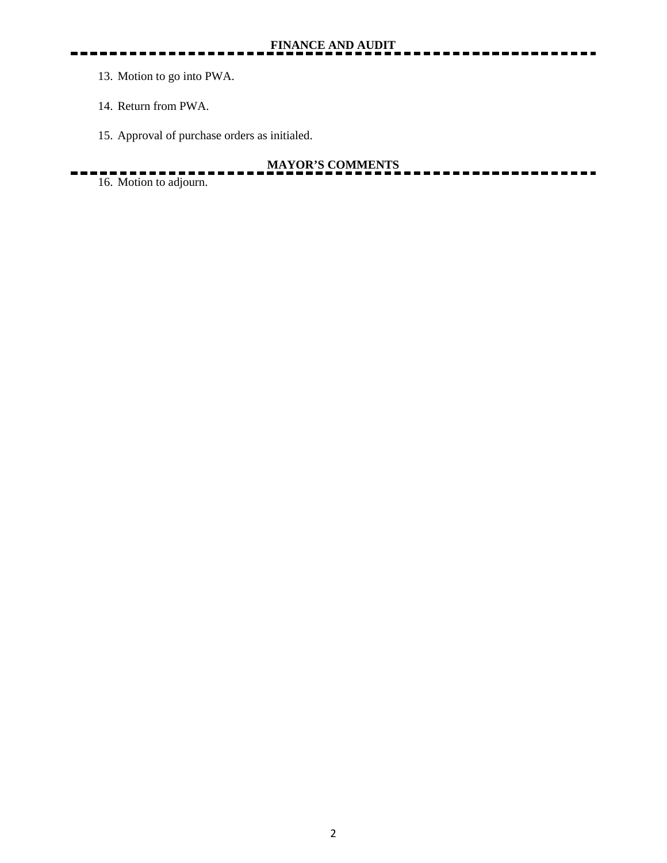- 13. Motion to go into PWA.
- 14. Return from PWA.
- 15. Approval of purchase orders as initialed.

## **MAYOR'S COMMENTS**

۵.

16. Motion to adjourn.